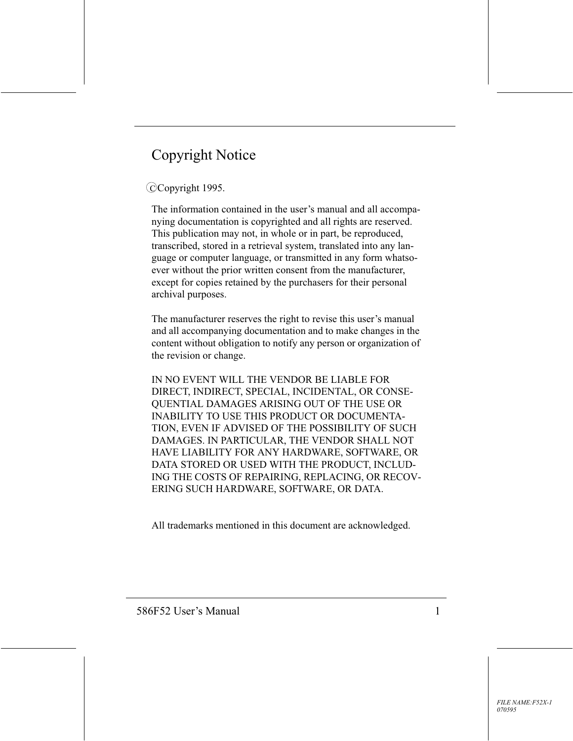# **Copyright Notice**

### CCopyright 1995.

The information contained in the user's manual and all accompanying documentation is copyrighted and all rights are reserved. This publication may not, in whole or in part, be reproduced, transcribed, stored in a retrieval system, translated into any language or computer language, or transmitted in any form whatsoever without the prior written consent from the manufacturer, except for copies retained by the purchasers for their personal archival purposes.

The manufacturer reserves the right to revise this user's manual and all accompanying documentation and to make changes in the content without obligation to notify any person or organization of the revision or change.

IN NO EVENT WILL THE VENDOR BE LIABLE FOR DIRECT, INDIRECT, SPECIAL, INCIDENTAL, OR CONSE-QUENTIAL DAMAGES ARISING OUT OF THE USE OR **INABILITY TO USE THIS PRODUCT OR DOCUMENTA-**TION, EVEN IF ADVISED OF THE POSSIBILITY OF SUCH DAMAGES. IN PARTICULAR, THE VENDOR SHALL NOT HAVE LIABILITY FOR ANY HARDWARE, SOFTWARE, OR DATA STORED OR USED WITH THE PRODUCT, INCLUD-ING THE COSTS OF REPAIRING, REPLACING, OR RECOV-ERING SUCH HARDWARE, SOFTWARE, OR DATA.

All trademarks mentioned in this document are acknowledged.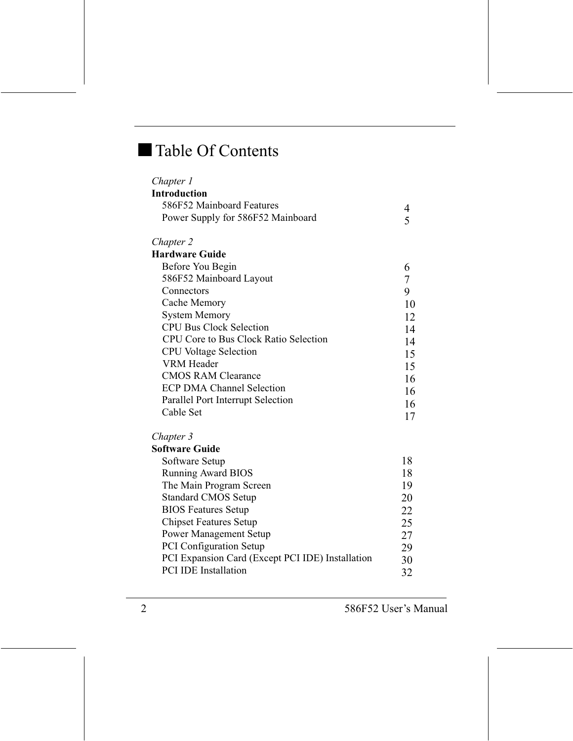# Table Of Contents

| Chapter 1                                        |                |
|--------------------------------------------------|----------------|
| <b>Introduction</b>                              |                |
| 586F52 Mainboard Features                        | 4              |
| Power Supply for 586F52 Mainboard                | 5              |
| Chapter 2                                        |                |
| <b>Hardware Guide</b>                            |                |
| Before You Begin                                 | 6              |
| 586F52 Mainboard Layout                          | $\overline{7}$ |
| Connectors                                       | 9              |
| Cache Memory                                     | 10             |
| <b>System Memory</b>                             | 12             |
| <b>CPU Bus Clock Selection</b>                   | 14             |
| CPU Core to Bus Clock Ratio Selection            | 14             |
| <b>CPU</b> Voltage Selection                     | 15             |
| <b>VRM</b> Header                                | 15             |
| <b>CMOS RAM Clearance</b>                        | 16             |
| <b>ECP DMA Channel Selection</b>                 | 16             |
| Parallel Port Interrupt Selection                | 16             |
| Cable Set                                        | 17             |
| Chapter 3                                        |                |
| <b>Software Guide</b>                            |                |
| Software Setup                                   | 18             |
| <b>Running Award BIOS</b>                        | 18             |
| The Main Program Screen                          | 19             |
| <b>Standard CMOS Setup</b>                       | 20             |
| <b>BIOS Features Setup</b>                       | 22             |
| <b>Chipset Features Setup</b>                    | 25             |
| <b>Power Management Setup</b>                    | 27             |
| PCI Configuration Setup                          | 29             |
| PCI Expansion Card (Except PCI IDE) Installation | 30             |
| <b>PCI IDE Installation</b>                      | 32             |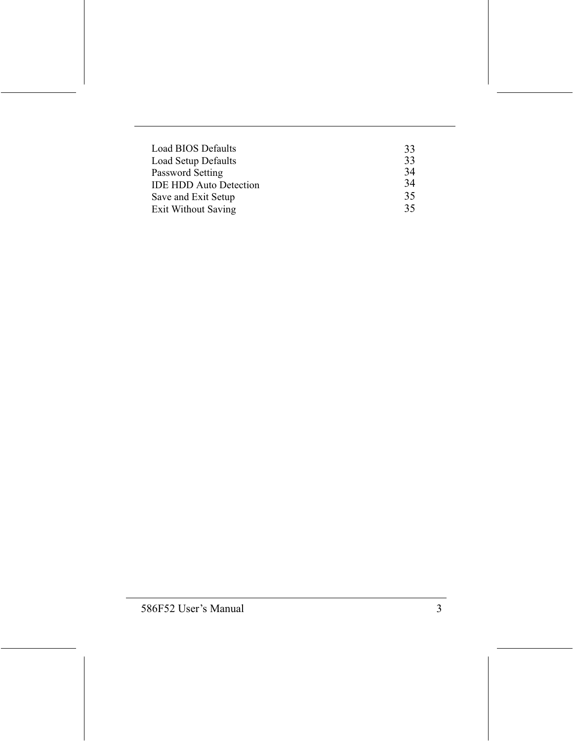| <b>Load BIOS Defaults</b>     | 33 |
|-------------------------------|----|
| Load Setup Defaults           | 33 |
| Password Setting              | 34 |
| <b>IDE HDD Auto Detection</b> | 34 |
| Save and Exit Setup           | 35 |
| Exit Without Saving           | 35 |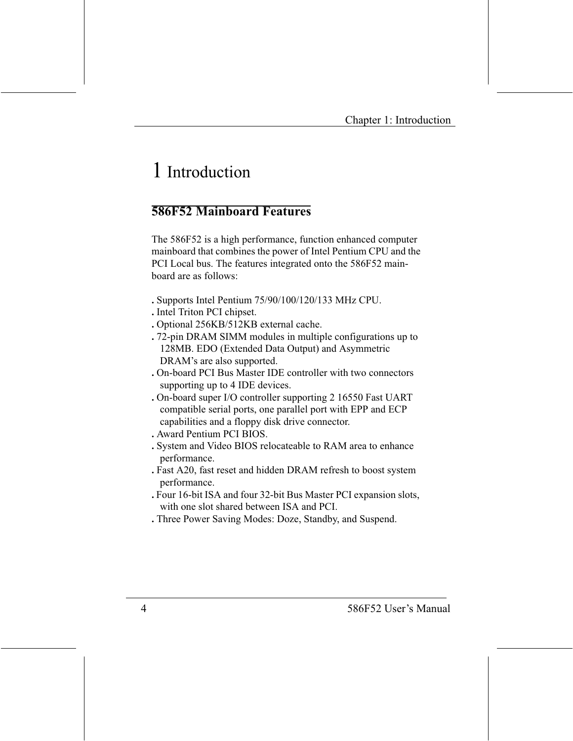# 1 Introduction

### **586F52 Mainhoard Features**

The 586F52 is a high performance, function enhanced computer mainboard that combines the power of Intel Pentium CPU and the PCI Local bus. The features integrated onto the 586F52 mainhoard are as follows:

- . Supports Intel Pentium 75/90/100/120/133 MHz CPU.
- . Intel Triton PCI chipset.
- . Optional 256KB/512KB external cache.
- . 72-pin DRAM SIMM modules in multiple configurations up to 128MB. EDO (Extended Data Output) and Asymmetric DRAM's are also supported.
- . On-board PCI Bus Master IDE controller with two connectors supporting up to 4 IDE devices.
- . On-board super I/O controller supporting 2 16550 Fast UART compatible serial ports, one parallel port with EPP and ECP capabilities and a floppy disk drive connector.
- . Award Pentium PCI BIOS.
- . System and Video BIOS relocateable to RAM area to enhance performance.
- . Fast A20, fast reset and hidden DRAM refresh to boost system performance.
- . Four 16-bit ISA and four 32-bit Bus Master PCI expansion slots, with one slot shared between ISA and PCI.
- . Three Power Saving Modes: Doze, Standby, and Suspend.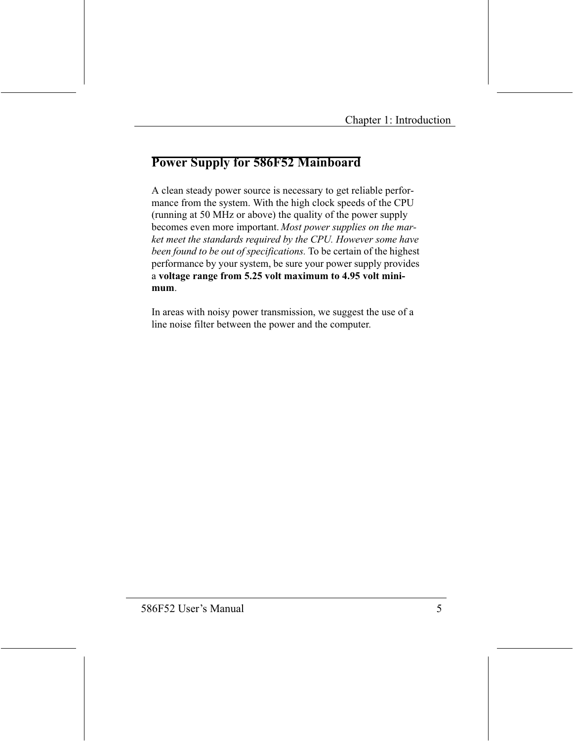# **Power Supply for 586F52 Mainboard**

A clean steady power source is necessary to get reliable performance from the system. With the high clock speeds of the CPU (running at 50 MHz or above) the quality of the power supply becomes even more important. Most power supplies on the market meet the standards required by the CPU. However some have been found to be out of specifications. To be certain of the highest performance by your system, be sure your power supply provides a voltage range from 5.25 volt maximum to 4.95 volt minimum.

In areas with noisy power transmission, we suggest the use of a line noise filter between the power and the computer.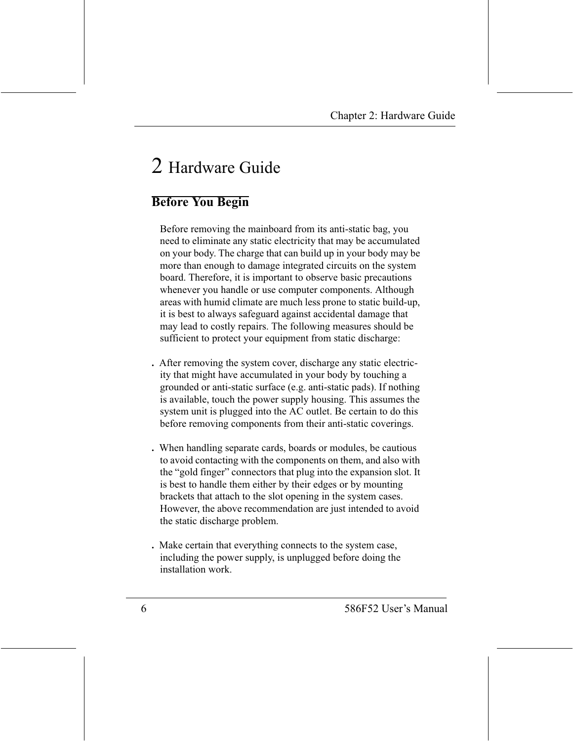# 2 Hardware Guide

# **Before You Begin**

Before removing the mainboard from its anti-static bag, you need to eliminate any static electricity that may be accumulated on your body. The charge that can build up in your body may be more than enough to damage integrated circuits on the system board. Therefore, it is important to observe basic precautions whenever you handle or use computer components. Although areas with humid climate are much less prone to static build-up, it is best to always safeguard against accidental damage that may lead to costly repairs. The following measures should be sufficient to protect your equipment from static discharge:

- . After removing the system cover, discharge any static electricity that might have accumulated in your body by touching a grounded or anti-static surface (e.g. anti-static pads). If nothing is available, touch the power supply housing. This assumes the system unit is plugged into the AC outlet. Be certain to do this before removing components from their anti-static coverings.
- . When handling separate cards, boards or modules, be cautious to avoid contacting with the components on them, and also with the "gold finger" connectors that plug into the expansion slot. It is best to handle them either by their edges or by mounting brackets that attach to the slot opening in the system cases. However, the above recommendation are just intended to avoid the static discharge problem.
- . Make certain that everything connects to the system case, including the power supply, is unplugged before doing the installation work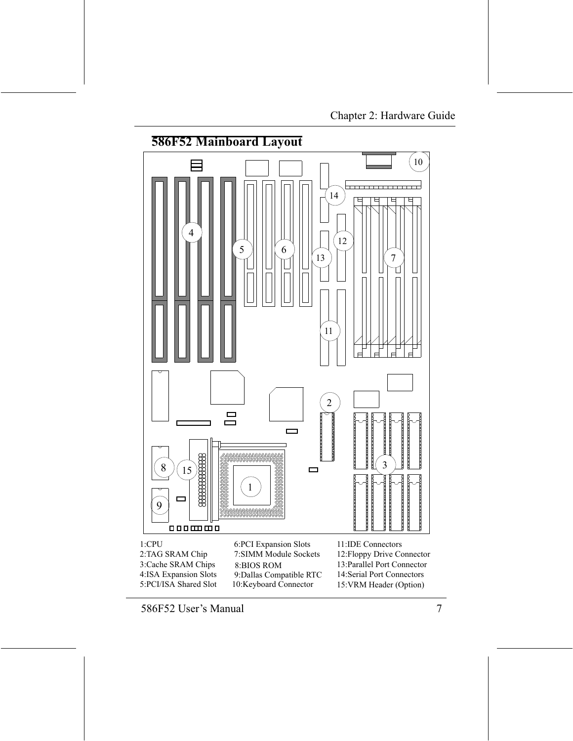### **586F52 Mainboard Layout**  $10\,$  $14$ 4  $12$ 5 6 13 7 Τ  $11$  $\overline{2}$  $\Box$  $\Box$ \_\_\_\_\_\_\_\_\_\_\_\_\_\_\_\_  $\frac{1}{2}$ 3 8  $15$  $\Box$ 1 \_\_\_\_\_\_\_\_\_\_\_\_\_\_\_\_\_\_\_\_  $\Box$ 9 0000000

 $1:$ CPU 2:TAG SRAM Chip 3:Cache SRAM Chips 4:ISA Expansion Slots 5:PCI/ISA Shared Slot

6:PCI Expansion Slots 7:SIMM Module Sockets 8:BIOS ROM 9: Dallas Compatible RTC 10:Keyboard Connector

- 11:IDE Connectors 12: Floppy Drive Connector
- 13: Parallel Port Connector
- 14:Serial Port Connectors
- 15: VRM Header (Option)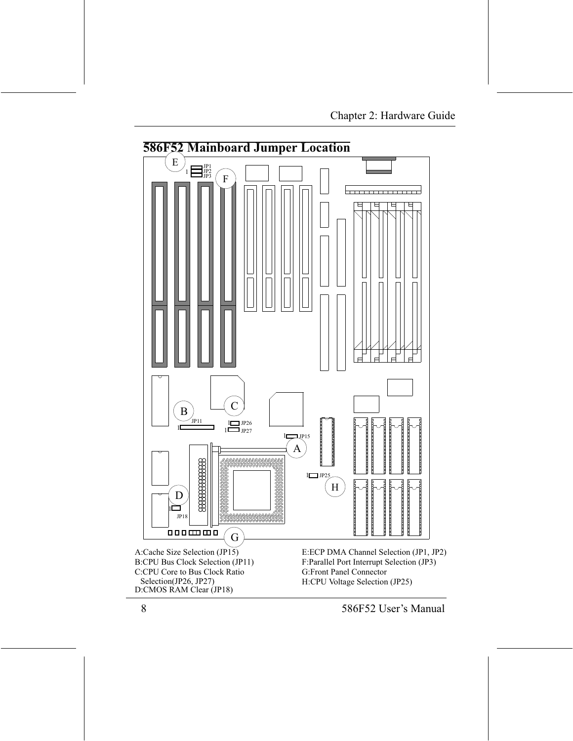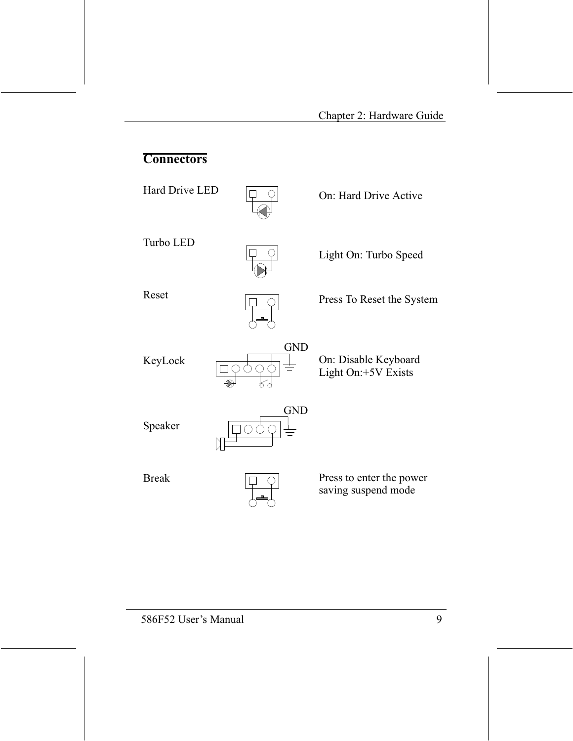# **Connectors**

Hard Drive LED



On: Hard Drive Active

Turbo LED



Light On: Turbo Speed

Reset



**GND** 

Press To Reset the System

On: Disable Keyboard Light On:+5V Exists

Speaker

KeyLock



**Break** 



Press to enter the power saving suspend mode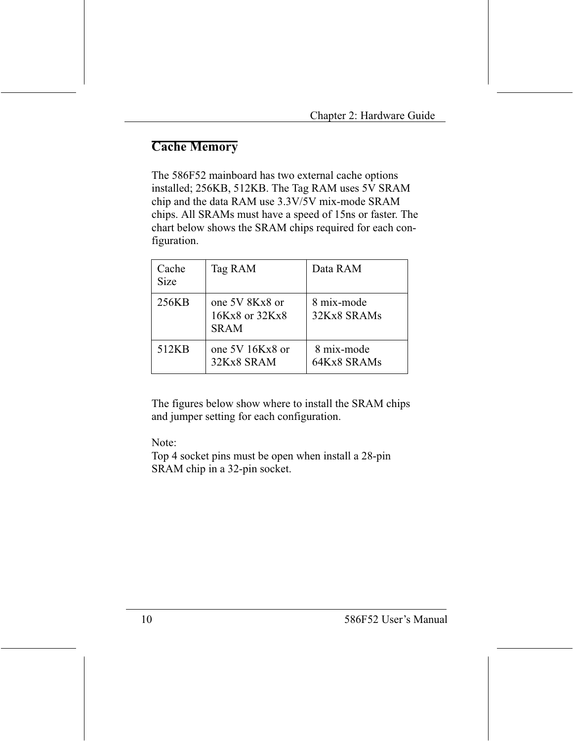# **Cache Memory**

The 586F52 mainboard has two external cache options installed; 256KB, 512KB. The Tag RAM uses 5V SRAM chip and the data RAM use 3.3V/5V mix-mode SRAM chips. All SRAMs must have a speed of 15ns or faster. The chart below shows the SRAM chips required for each configuration.

| Cache<br><b>Size</b> | Tag RAM                                         | Data RAM                  |
|----------------------|-------------------------------------------------|---------------------------|
| 256KB                | one 5V 8Kx8 or<br>16Kx8 or 32Kx8<br><b>SRAM</b> | 8 mix-mode<br>32Kx8 SRAMs |
| 512KB                | one $5V$ 16Kx8 or<br>32Kx8 SRAM                 | 8 mix-mode<br>64Kx8 SRAMs |

The figures below show where to install the SRAM chips and jumper setting for each configuration.

Note:

Top 4 socket pins must be open when install a 28-pin SRAM chip in a 32-pin socket.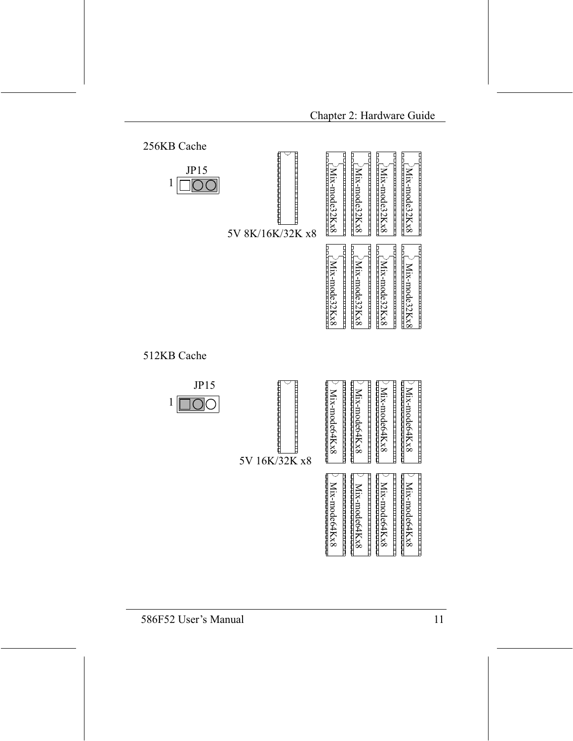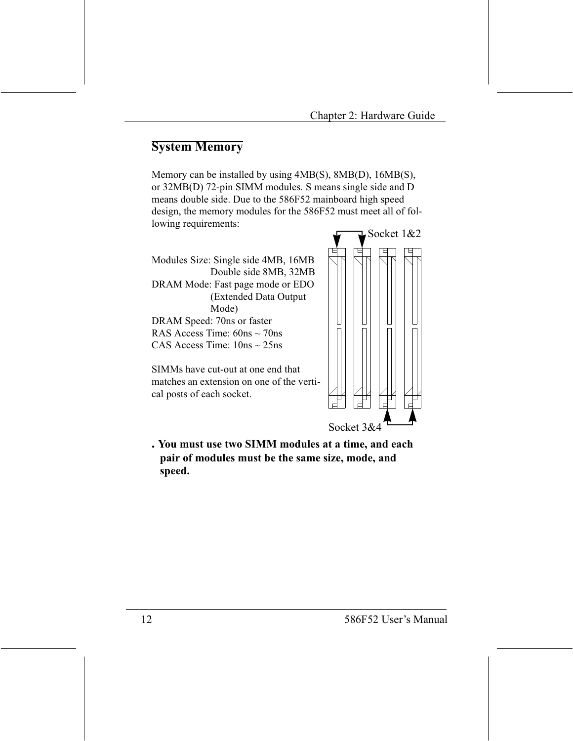### **System Memory**

Memory can be installed by using 4MB(S), 8MB(D), 16MB(S), or 32MB(D) 72-pin SIMM modules. S means single side and D means double side. Due to the 586F52 mainboard high speed design, the memory modules for the 586F52 must meet all of following requirements:

Modules Size: Single side 4MB, 16MB Double side 8MB, 32MB DRAM Mode: Fast page mode or EDO (Extended Data Output) Mode) DRAM Speed: 70ns or faster RAS Access Time:  $60ns \approx 70ns$ CAS Access Time:  $10ns \sim 25ns$ 

SIMMs have cut-out at one end that matches an extension on one of the vertical posts of each socket.



. You must use two SIMM modules at a time, and each pair of modules must be the same size, mode, and speed.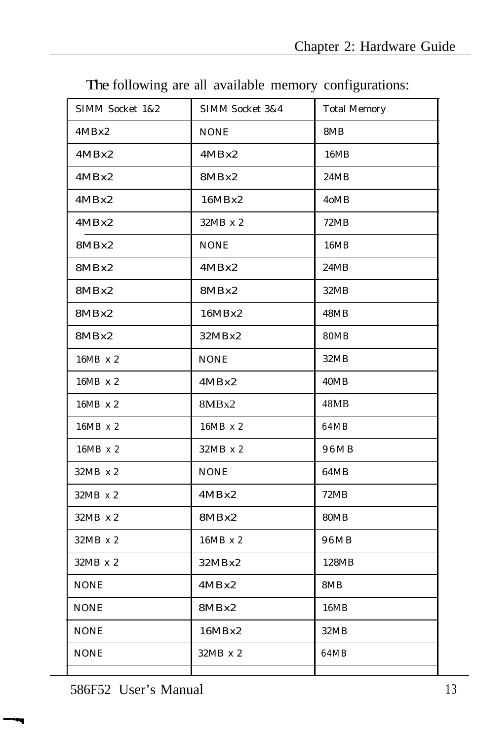| SIMM Socket 1&2 | SIMM Socket 3&4 | <b>Total Memory</b> |
|-----------------|-----------------|---------------------|
| 4MBx2           | <b>NONE</b>     | 8MB                 |
| 4MBx2           | 4MBx2           | 16MB                |
| 4MBx2           | 8MBx2           | 24MB                |
| 4MBx2           | 16MBx2          | 4oMB                |
| 4MBx2           | $32MB \times 2$ | 72MB                |
| 8MBx2           | <b>NONE</b>     | 16MB                |
| 8MBx2           | 4MBx2           | 24MB                |
| 8MBx2           | 8MBx2           | 32MB                |
| 8MBx2           | 16MBx2          | 48MB                |
| 8MBx2           | 32MBx2          | <b>80MB</b>         |
| 16MB x 2        | <b>NONE</b>     | 32MB                |
| 16MB x 2        | 4MBx2           | 40MB                |
| 16MB x 2        | 8MBx2           | 48MB                |
| 16MB x 2        | 16MB x 2        | 64MB                |
| 16MB x 2        | 32MB x 2        | 96MB                |
| 32MB x 2        | <b>NONE</b>     | 64MB                |
| $32MB \times 2$ | 4MBx2           | <b>72MB</b>         |
| $32MB \times 2$ | 8MBx2           | <b>80MB</b>         |
| 32MB x 2        | 16MB x 2        | 96MB                |
| 32MB x 2        | 32MBx2          | 128MB               |
| <b>NONE</b>     | 4MBx2           | 8MB                 |
| <b>NONE</b>     | 8MBx2           | 16MB                |
| <b>NONE</b>     | 16MBx2          | 32MB                |
| <b>NONE</b>     | 32MB x 2        | 64MB                |
|                 |                 |                     |

The following are all available memory configurations:

586F52 User's Manual 13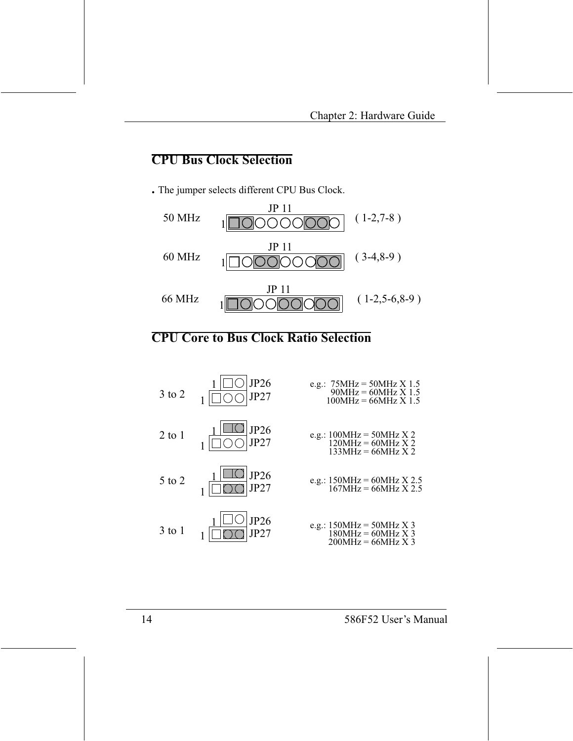### **CPU Bus Clock Selection**

. The jumper selects different CPU Bus Clock.



### **CPU Core to Bus Clock Ratio Selection**

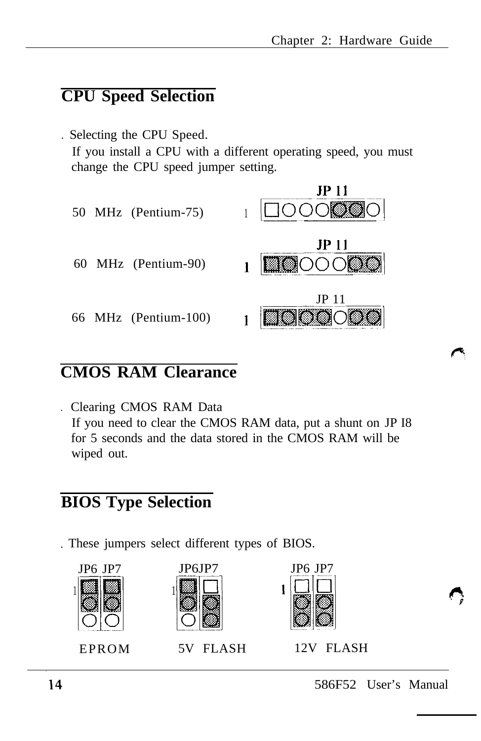## **CPU Speed Selection**

. Selecting the CPU Speed. If you install a CPU with a different operating speed, you must change the CPU speed jumper setting.



### **CMOS RAM Clearance**

. Clearing CMOS RAM Data If you need to clear the CMOS RAM data, put a shunt on JP I8 for 5 seconds and the data stored in the CMOS RAM will be wiped out.

## **BIOS Type Selection**

. These jumpers select different types of BIOS.







EPROM 5V FLASH 12V FLASH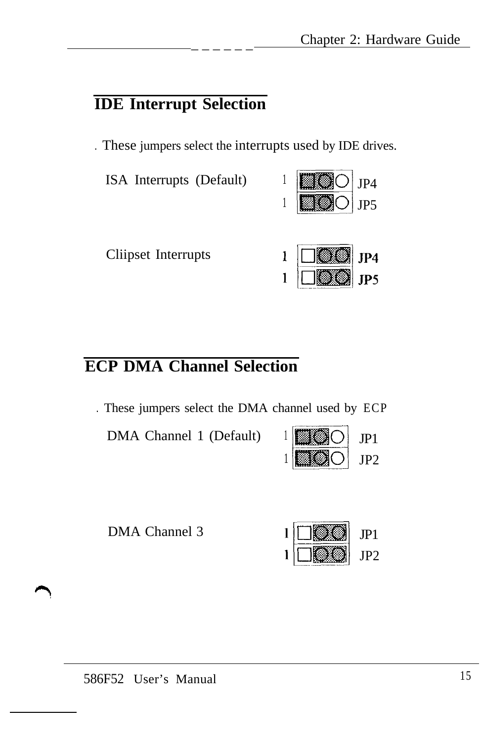### **IDE Interrupt Selection**

. These jumpers select the interrupts used by IDE drives.

ISA Interrupts (Default)  $1 \parallel \blacksquare$   $\bigcirc \parallel$  JP4



Cliipset Interrupts

# **ECP DMA Channel Selection**

. These jumpers select the DMA channel used by ECP

DMA Channel 1 (Default)  $1 \parallel \parallel \parallel \parallel \parallel$ 



| DMA Channel 3 | $1$ $\Box$ |  |
|---------------|------------|--|
|---------------|------------|--|

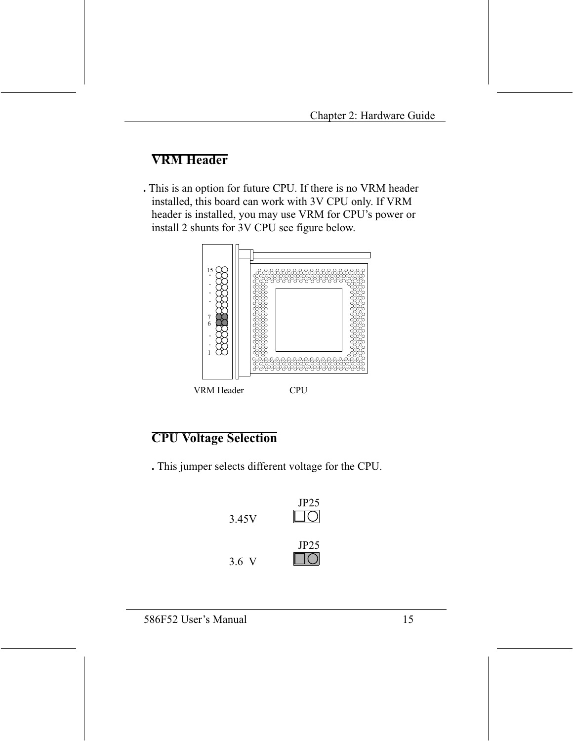# **VRM Header**

. This is an option for future CPU. If there is no VRM header installed, this board can work with 3V CPU only. If VRM header is installed, you may use VRM for CPU's power or install 2 shunts for 3V CPU see figure below.



# **VRM** Header



### **CPU Voltage Selection**

. This jumper selects different voltage for the CPU.

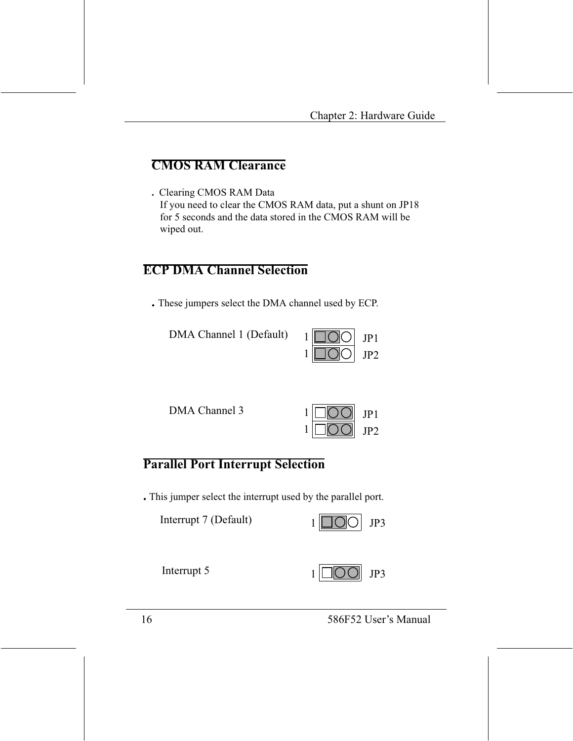# **CMOS RAM Clearance**

. Clearing CMOS RAM Data If you need to clear the CMOS RAM data, put a shunt on JP18 for 5 seconds and the data stored in the CMOS RAM will be wiped out.

### **ECP DMA Channel Selection**

. These jumpers select the DMA channel used by ECP.

DMA Channel 1 (Default)

|  | ,, |
|--|----|

DMA Channel 3



### **Parallel Port Interrupt Selection**

. This jumper select the interrupt used by the parallel port.

| Interrupt 7 (Default) | $1$ $\Box$ $\odot$ $\Box$ JP3 |  |
|-----------------------|-------------------------------|--|
|-----------------------|-------------------------------|--|

Interrupt 5



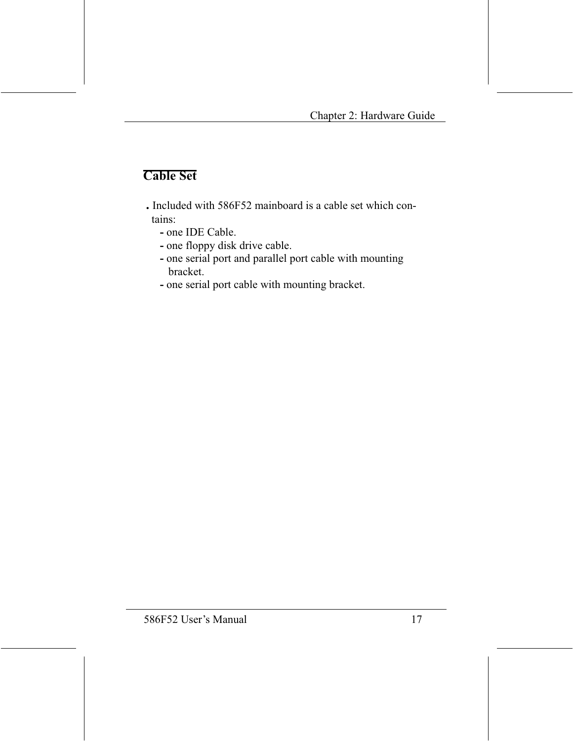# **Cable Set**

- . Included with 586F52 mainboard is a cable set which contains:
	- one IDE Cable.
	- one floppy disk drive cable.
	- one serial port and parallel port cable with mounting bracket.
	- one serial port cable with mounting bracket.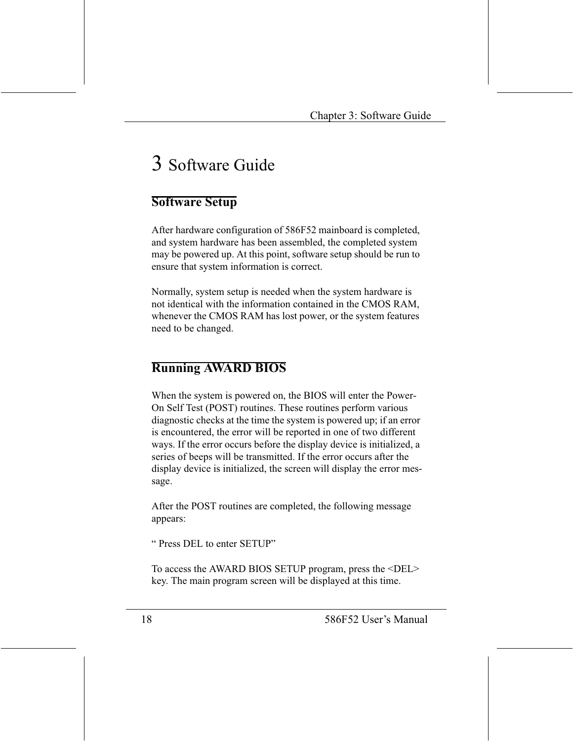# 3 Software Guide

### **Software Setup**

After hardware configuration of 586F52 mainboard is completed, and system hardware has been assembled, the completed system may be powered up. At this point, software setup should be run to ensure that system information is correct.

Normally, system setup is needed when the system hardware is not identical with the information contained in the CMOS RAM, whenever the CMOS RAM has lost power, or the system features need to be changed.

### **Running AWARD BIOS**

When the system is powered on, the BIOS will enter the Power-On Self Test (POST) routines. These routines perform various diagnostic checks at the time the system is powered up; if an error is encountered, the error will be reported in one of two different ways. If the error occurs before the display device is initialized, a series of beeps will be transmitted. If the error occurs after the display device is initialized, the screen will display the error message.

After the POST routines are completed, the following message appears:

"Press DEL to enter SETUP"

To access the AWARD BIOS SETUP program, press the <DEL> key. The main program screen will be displayed at this time.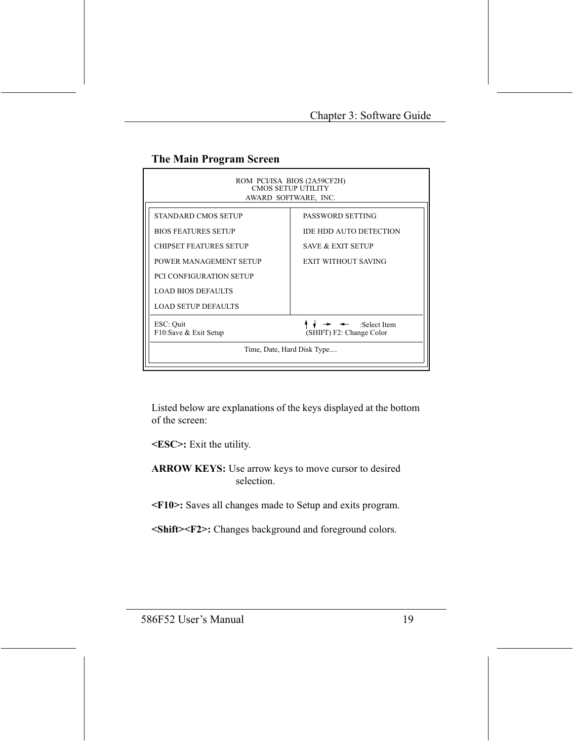### The Main Program Screen

| ROM PCI/ISA BIOS (2A59CF2H)<br>CMOS SETUP UTILITY<br>AWARD SOFTWARE, INC. |                                                       |  |  |  |
|---------------------------------------------------------------------------|-------------------------------------------------------|--|--|--|
| STANDARD CMOS SETUP                                                       | PASSWORD SETTING                                      |  |  |  |
| <b>BIOS FEATURES SETUP</b>                                                | <b>IDE HDD AUTO DETECTION</b>                         |  |  |  |
| <b>CHIPSET FEATURES SETUP</b>                                             | <b>SAVE &amp; EXIT SETUP</b>                          |  |  |  |
| POWER MANAGEMENT SETUP                                                    | <b>EXIT WITHOUT SAVING</b>                            |  |  |  |
| <b>PCI CONFIGURATION SETUP</b>                                            |                                                       |  |  |  |
| <b>LOAD BIOS DEFAULTS</b>                                                 |                                                       |  |  |  |
| <b>LOAD SETUP DEFAULTS</b>                                                |                                                       |  |  |  |
| ESC: Quit<br>F10:Save & Exit Setup                                        | $\leftarrow$ :Select Item<br>(SHIFT) F2: Change Color |  |  |  |
| Time, Date, Hard Disk Type                                                |                                                       |  |  |  |

Listed below are explanations of the keys displayed at the bottom of the screen:

<ESC>: Exit the utility.

ARROW KEYS: Use arrow keys to move cursor to desired selection.

<F10>: Saves all changes made to Setup and exits program.

<Shift><F2>: Changes background and foreground colors.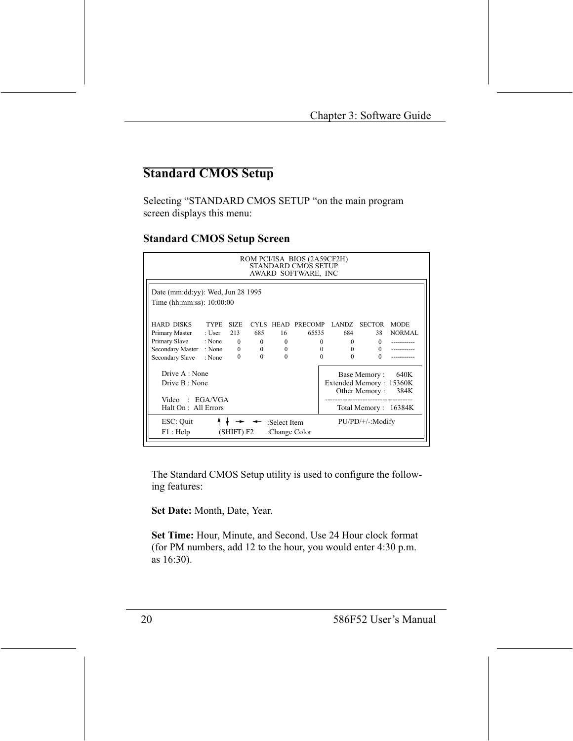# **Standard CMOS Setup**

Selecting "STANDARD CMOS SETUP "on the main program screen displays this menu:

#### **Standard CMOS Setup Screen**

| ROM PCI/ISA BIOS (2A59CF2H)<br>STANDARD CMOS SETUP<br>AWARD SOFTWARE, INC |              |                |                |          |                                |                          |               |               |
|---------------------------------------------------------------------------|--------------|----------------|----------------|----------|--------------------------------|--------------------------|---------------|---------------|
| Date (mm:dd:yy): Wed, Jun 28 1995                                         |              |                |                |          |                                |                          |               |               |
| Time (hh:mm:ss): 10:00:00                                                 |              |                |                |          |                                |                          |               |               |
| <b>HARD DISKS</b>                                                         | <b>TYPE</b>  | SIZE.          |                |          | CYLS HEAD PRECOMP LANDZ SECTOR |                          |               | <b>MODE</b>   |
| Primary Master                                                            | : User $213$ |                | 685            | 16       | 65535                          | 684                      | 38            | <b>NORMAL</b> |
| Primary Slave : None 0                                                    |              |                | $\mathbf{0}$   | $\Omega$ |                                | $\mathbf{0}$<br>$\Omega$ | $\Omega$      |               |
| Secondary Master                                                          | : None       | $\overline{0}$ | $\overline{0}$ | $\Omega$ | $\Omega$                       | $\Omega$                 | $\Omega$      |               |
| Secondary Slave                                                           | : None       | $\Omega$       | $\Omega$       | $\Omega$ | $\Omega$                       | $\Omega$                 | $\Omega$      |               |
| Drive A : None                                                            |              |                |                |          |                                |                          | Base Memory:  | 640K          |
| Drive B: None                                                             |              |                |                |          |                                | Extended Memory: 15360K  |               |               |
|                                                                           |              |                |                |          |                                |                          | Other Memory: | 384K          |
| Video : $EGA/VGA$                                                         |              |                |                |          |                                |                          |               |               |
| Total Memory: 16384K<br>Halt On: All Errors                               |              |                |                |          |                                |                          |               |               |
| ESC: Quit<br>$PU/PD/+/-: Modify$<br>:Select Item                          |              |                |                |          |                                |                          |               |               |
| F1: Help<br>(SHIFT) F2<br>:Change Color                                   |              |                |                |          |                                |                          |               |               |

The Standard CMOS Setup utility is used to configure the following features:

Set Date: Month, Date, Year.

Set Time: Hour, Minute, and Second. Use 24 Hour clock format (for PM numbers, add 12 to the hour, you would enter 4:30 p.m. as 16:30).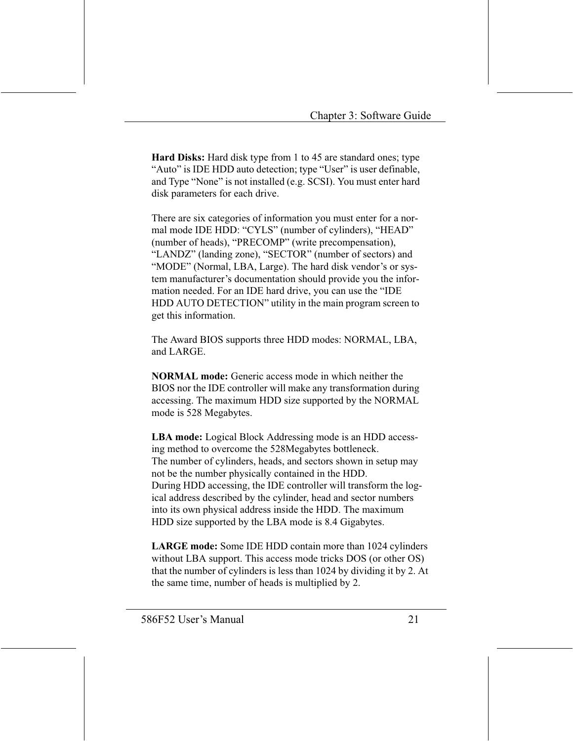**Hard Disks:** Hard disk type from 1 to 45 are standard ones; type "Auto" is IDE HDD auto detection; type "User" is user definable, and Type "None" is not installed (e.g. SCSI). You must enter hard disk parameters for each drive.

There are six categories of information you must enter for a normal mode IDE HDD: "CYLS" (number of cylinders), "HEAD" (number of heads), "PRECOMP" (write precompensation), "LANDZ" (landing zone), "SECTOR" (number of sectors) and "MODE" (Normal, LBA, Large). The hard disk vendor's or system manufacturer's documentation should provide you the information needed. For an IDE hard drive, you can use the "IDE HDD AUTO DETECTION" utility in the main program screen to get this information.

The Award BIOS supports three HDD modes: NORMAL, LBA, and LARGE.

**NORMAL** mode: Generic access mode in which neither the BIOS nor the IDE controller will make any transformation during accessing. The maximum HDD size supported by the NORMAL mode is 528 Megabytes.

**LBA mode:** Logical Block Addressing mode is an HDD accessing method to overcome the 528Megabytes bottleneck. The number of cylinders, heads, and sectors shown in setup may not be the number physically contained in the HDD. During HDD accessing, the IDE controller will transform the logical address described by the cylinder, head and sector numbers into its own physical address inside the HDD. The maximum HDD size supported by the LBA mode is 8.4 Gigabytes.

**LARGE mode:** Some IDE HDD contain more than 1024 cylinders without LBA support. This access mode tricks DOS (or other OS) that the number of cylinders is less than 1024 by dividing it by 2. At the same time, number of heads is multiplied by 2.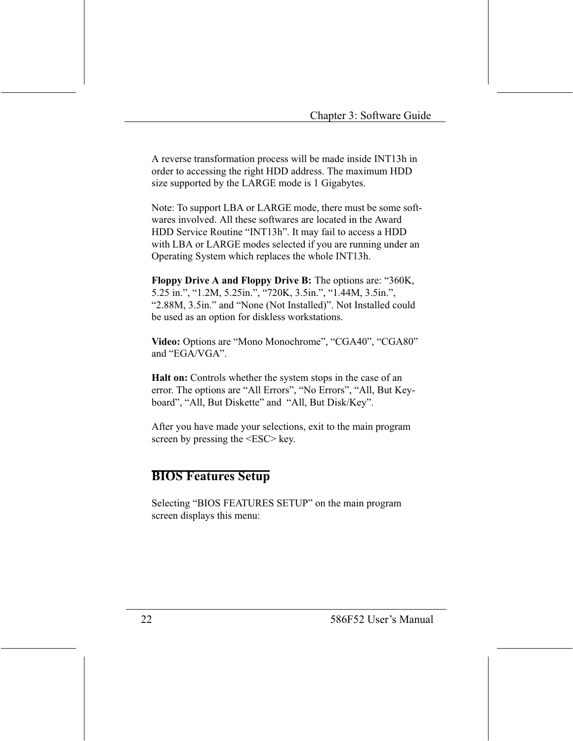A reverse transformation process will be made inside INT13h in order to accessing the right HDD address. The maximum HDD size supported by the LARGE mode is 1 Gigabytes.

Note: To support LBA or LARGE mode, there must be some softwares involved. All these softwares are located in the Award HDD Service Routine "INT13h". It may fail to access a HDD with LBA or LARGE modes selected if you are running under an Operating System which replaces the whole INT13h.

**Floppy Drive A and Floppy Drive B:** The options are: "360K, 5.25 in.", "1.2M, 5.25in.", "720K, 3.5in.", "1.44M, 3.5in.", "2.88M, 3.5in." and "None (Not Installed)". Not Installed could be used as an option for diskless workstations.

Video: Options are "Mono Monochrome", "CGA40", "CGA80" and "EGA/VGA".

**Halt on:** Controls whether the system stops in the case of an error. The options are "All Errors", "No Errors", "All, But Keyboard", "All, But Diskette" and "All, But Disk/Key".

After you have made your selections, exit to the main program screen by pressing the <ESC> key.

### **BIOS Features Setup**

Selecting "BIOS FEATURES SETUP" on the main program screen displays this menu: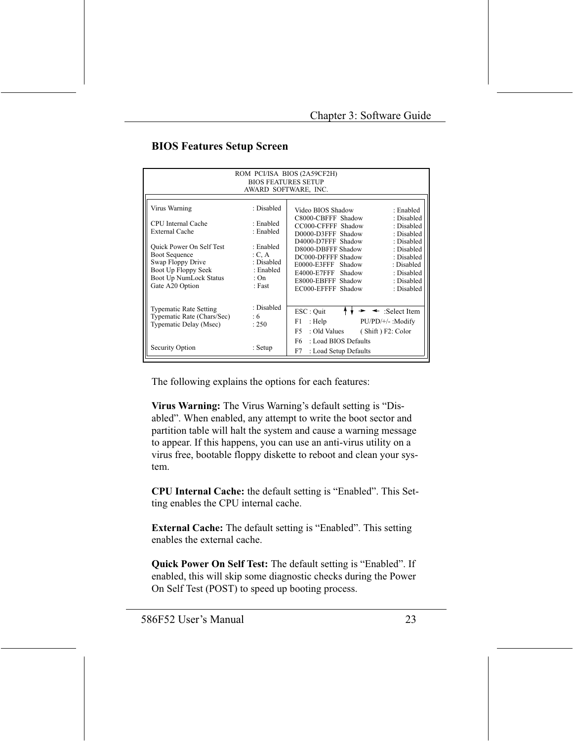#### **BIOS Features Setup Screen**

| ROM PCI/ISA BIOS (2A59CF2H)<br><b>BIOS FEATURES SETUP</b><br>AWARD SOFTWARE, INC.                                                                |                                                                |                                                                                                                                                                                                                                                          |  |  |  |  |
|--------------------------------------------------------------------------------------------------------------------------------------------------|----------------------------------------------------------------|----------------------------------------------------------------------------------------------------------------------------------------------------------------------------------------------------------------------------------------------------------|--|--|--|--|
| Virus Warning                                                                                                                                    | : Disabled                                                     | Video BIOS Shadow<br>: Enabled                                                                                                                                                                                                                           |  |  |  |  |
| CPU Internal Cache<br>External Cache                                                                                                             | ∙ Enabled<br>: Enabled                                         | C8000-CBFFF Shadow<br>: Disabled<br>CC000-CFFFF Shadow<br>: Disabled<br>D0000-D3FFF Shadow<br>: Disabled                                                                                                                                                 |  |  |  |  |
| <b>Ouick Power On Self Test</b><br><b>Boot Sequence</b><br>Swap Floppy Drive<br>Boot Up Floppy Seek<br>Boot Up NumLock Status<br>Gate A20 Option | : Enabled<br>C, A<br>: Disabled<br>: Enabled<br>: On<br>: Fast | D4000-D7FFF Shadow<br>: Disabled<br>D8000-DBFFF Shadow<br>: Disabled<br>DC000-DFFFF Shadow<br>: Disabled<br>E0000-E3FFF Shadow<br>: Disabled<br>E4000-E7FFF Shadow<br>: Disabled<br>E8000-EBFFF Shadow<br>: Disabled<br>EC000-EFFFF Shadow<br>: Disabled |  |  |  |  |
| <b>Typematic Rate Setting</b><br>Typematic Rate (Chars/Sec)<br>Typematic Delay (Msec)                                                            | : Disabled<br>:6<br>: 250                                      | ESC: Ouit<br>:Select Item<br>PU/PD/+/-: Modify<br>: Help<br>F1<br>F5<br>: Old Values<br>(Shift) F2: Color                                                                                                                                                |  |  |  |  |
| Security Option                                                                                                                                  | : Setup                                                        | F6<br>: Load BIOS Defaults<br>F7<br>: Load Setup Defaults                                                                                                                                                                                                |  |  |  |  |

The following explains the options for each features:

Virus Warning: The Virus Warning's default setting is "Disabled". When enabled, any attempt to write the boot sector and partition table will halt the system and cause a warning message to appear. If this happens, you can use an anti-virus utility on a virus free, bootable floppy diskette to reboot and clean your system.

**CPU Internal Cache:** the default setting is "Enabled". This Setting enables the CPU internal cache.

**External Cache:** The default setting is "Enabled". This setting enables the external cache.

**Quick Power On Self Test:** The default setting is "Enabled". If enabled, this will skip some diagnostic checks during the Power On Self Test (POST) to speed up booting process.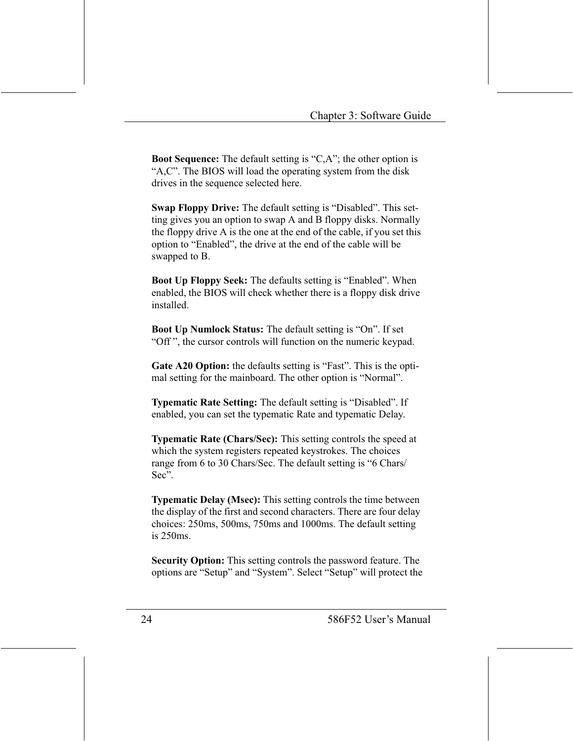**Boot Sequence:** The default setting is "C,A"; the other option is "A,C". The BIOS will load the operating system from the disk drives in the sequence selected here.

**Swap Floppy Drive:** The default setting is "Disabled". This setting gives you an option to swap A and B floppy disks. Normally the floppy drive A is the one at the end of the cable, if you set this option to "Enabled", the drive at the end of the cable will be swapped to B.

**Boot Up Floppy Seek:** The defaults setting is "Enabled". When enabled, the BIOS will check whether there is a floppy disk drive installed.

**Boot Up Numlock Status:** The default setting is "On". If set "Off", the cursor controls will function on the numeric keypad.

Gate A20 Option: the defaults setting is "Fast". This is the optimal setting for the mainboard. The other option is "Normal".

**Typematic Rate Setting:** The default setting is "Disabled". If enabled, you can set the typematic Rate and typematic Delay.

**Typematic Rate (Chars/Sec):** This setting controls the speed at which the system registers repeated keystrokes. The choices range from 6 to 30 Chars/Sec. The default setting is "6 Chars/  $Sec$ .

**Typematic Delay (Msec):** This setting controls the time between the display of the first and second characters. There are four delay choices: 250ms, 500ms, 750ms and 1000ms. The default setting  $is 250ms.$ 

Security Option: This setting controls the password feature. The options are "Setup" and "System". Select "Setup" will protect the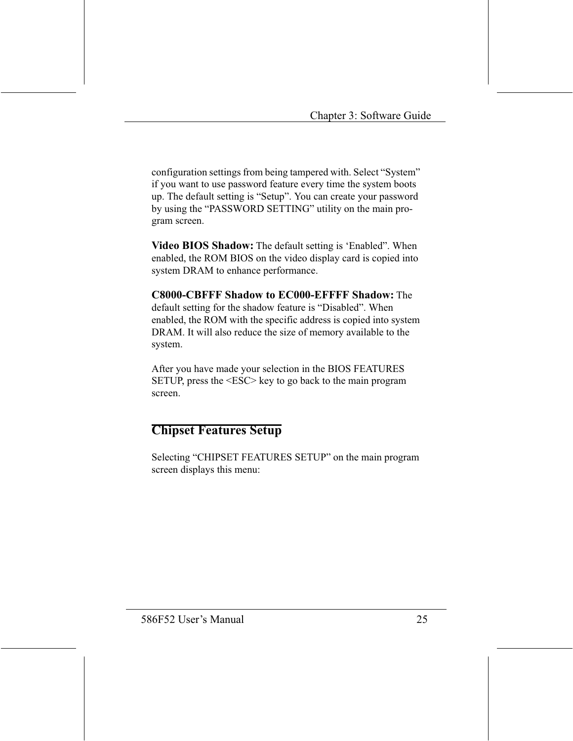configuration settings from being tampered with. Select "System" if you want to use password feature every time the system boots up. The default setting is "Setup". You can create your password by using the "PASSWORD SETTING" utility on the main program screen.

Video BIOS Shadow: The default setting is 'Enabled". When enabled, the ROM BIOS on the video display card is copied into system DRAM to enhance performance.

**C8000-CBFFF Shadow to EC000-EFFFF Shadow:** The default setting for the shadow feature is "Disabled". When enabled, the ROM with the specific address is copied into system DRAM. It will also reduce the size of memory available to the system.

After you have made your selection in the BIOS FEATURES SETUP, press the  $\langle$ ESC $>$  key to go back to the main program screen.

### **Chipset Features Setup**

Selecting "CHIPSET FEATURES SETUP" on the main program screen displays this menu: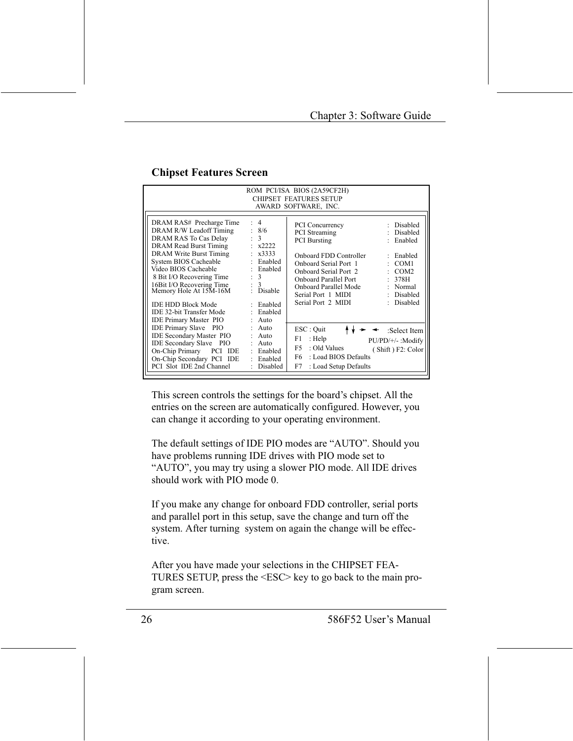|                                                                                                                                                                                                                                                                                                                                        |                                                                                                                                                                             | ROM PCI/ISA BIOS (2A59CF2H)                                                                                                                                                                                                                     |                                                                                                                          |  |  |
|----------------------------------------------------------------------------------------------------------------------------------------------------------------------------------------------------------------------------------------------------------------------------------------------------------------------------------------|-----------------------------------------------------------------------------------------------------------------------------------------------------------------------------|-------------------------------------------------------------------------------------------------------------------------------------------------------------------------------------------------------------------------------------------------|--------------------------------------------------------------------------------------------------------------------------|--|--|
| <b>CHIPSET FEATURES SETUP</b>                                                                                                                                                                                                                                                                                                          |                                                                                                                                                                             |                                                                                                                                                                                                                                                 |                                                                                                                          |  |  |
|                                                                                                                                                                                                                                                                                                                                        |                                                                                                                                                                             | AWARD SOFTWARE, INC.                                                                                                                                                                                                                            |                                                                                                                          |  |  |
| DRAM RAS# Precharge Time<br>DRAM R/W Leadoff Timing<br>DRAM RAS To Cas Delay<br>DRAM Read Burst Timing<br><b>DRAM Write Burst Timing</b><br>System BIOS Cacheable<br>Video BIOS Cacheable<br>8 Bit I/O Recovering Time<br>16Bit I/O Recovering Time<br>Memory Hole At 15M-16M<br><b>IDE HDD Block Mode</b><br>IDE 32-bit Transfer Mode | : 4<br>: 8/6<br>$\therefore$ 3<br>$\frac{1}{2}$ x2222<br>$\pm x3333$<br>: Enabled<br>Enabled<br>÷.<br>$\therefore$ 3<br>$\frac{3}{2}$ Disable<br>: Enabled<br>Enabled<br>÷. | <b>PCI</b> Concurrency<br><b>PCI</b> Streaming<br><b>PCI</b> Bursting<br>Onboard FDD Controller<br>Onboard Serial Port 1<br>Onboard Serial Port 2<br>Onboard Parallel Port<br>Onboard Parallel Mode<br>Serial Port 1 MIDI<br>Serial Port 2 MIDI | : Disabled<br>Disabled<br>Enabled<br>: Enabled<br>COM1<br>COM <sub>2</sub><br>: 378H<br>: Normal<br>Disabled<br>Disabled |  |  |
| IDE Primary Master PIO<br><b>IDE Primary Slave</b> PIO<br><b>IDE Secondary Master PIO</b><br><b>IDE Secondary Slave PIO</b><br>On-Chip Primary PCI IDE<br>On-Chip Secondary PCI IDE<br>PCI Slot IDE 2nd Channel                                                                                                                        | $:$ Auto<br>: Auto<br>: Auto<br>: Auto<br>: Enabled<br>Enabled<br>$\mathbf{r}$<br>Disabled<br>٠                                                                             | $\text{ESC}:$ Quit<br>F1<br>: Help<br>F5<br>: Old Values<br>F6<br>: Load BIOS Defaults<br>F7<br>: Load Setup Defaults                                                                                                                           | :Select Item<br>PU/PD/+/-: Modify<br>(Shift) F2: Color                                                                   |  |  |

### **Chipset Features Screen**

This screen controls the settings for the board's chipset. All the entries on the screen are automatically configured. However, you can change it according to your operating environment.

The default settings of IDE PIO modes are "AUTO". Should you have problems running IDE drives with PIO mode set to "AUTO", you may try using a slower PIO mode. All IDE drives should work with PIO mode 0.

If you make any change for onboard FDD controller, serial ports and parallel port in this setup, save the change and turn off the system. After turning system on again the change will be effective

After you have made your selections in the CHIPSET FEA-TURES SETUP, press the <ESC> key to go back to the main program screen.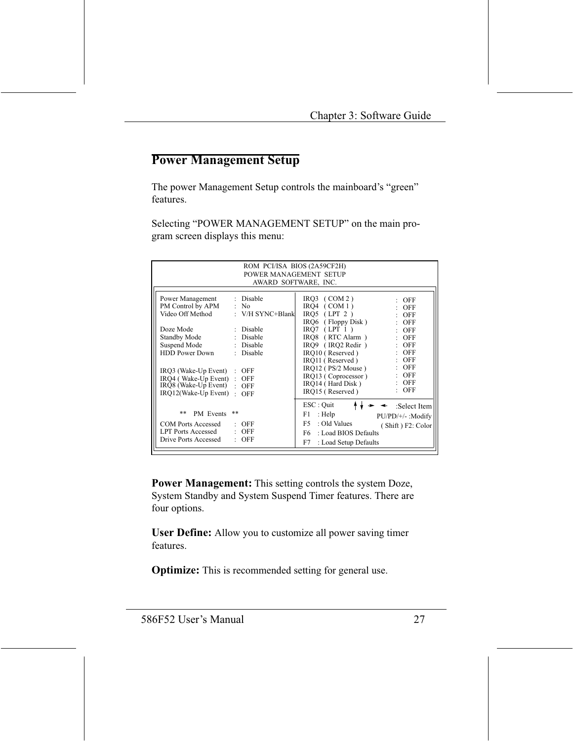### **Power Management Setup**

The power Management Setup controls the mainboard's "green" features.

Selecting "POWER MANAGEMENT SETUP" on the main program screen displays this menu:

| ROM PCI/ISA BIOS (2A59CF2H)<br>POWER MANAGEMENT SETUP<br>AWARD SOFTWARE, INC. |                                          |  |  |
|-------------------------------------------------------------------------------|------------------------------------------|--|--|
|                                                                               |                                          |  |  |
| : Disable<br>Power Management                                                 | $IRO3$ (COM 2)<br>$:$ OFF                |  |  |
| PM Control by APM : No                                                        | IRO4 $(COM1)$<br><b>OFF</b>              |  |  |
| Video Off Method<br>: $V/H$ SYNC+Blank                                        | $IRO5$ (LPT 2)<br>OFF                    |  |  |
|                                                                               | IRQ6 (Floppy Disk)<br>OFF                |  |  |
| Doze Mode<br>: Disable                                                        | $IRO7$ (LPT 1)<br>$\therefore$ OFF       |  |  |
| Standby Mode : Disable                                                        | IRO8 (RTC Alarm)<br>$:$ OFF              |  |  |
| Suspend Mode : Disable                                                        | IRO9 (IRO2 Redir)<br><b>OFF</b>          |  |  |
| <b>HDD Power Down</b><br>: Disable                                            | IRO10 (Reserved)<br><b>OFF</b>           |  |  |
|                                                                               | $:$ OFF<br>IRO11 (Reserved)              |  |  |
| IRQ3 (Wake-Up Event)<br><b>OFF</b><br>÷.                                      | $:$ OFF<br>$IRO12$ ( $PS/2$ Mouse)       |  |  |
| IRQ4 (Wake-Up Event):<br><b>OFF</b>                                           | <b>OFF</b><br>IRO13 (Coprocessor)        |  |  |
| $IRQ8$ (Wake-Up Event) $\cdot$<br>OFF                                         | OFF<br>IRO14 (Hard Disk)<br><b>OFF</b>   |  |  |
| IRQ12(Wake-Up Event) :<br>OFF                                                 | IRQ15 (Reserved)                         |  |  |
|                                                                               | ESC : Quit<br>:Select Item               |  |  |
| **<br>$* *$<br>PM Events                                                      | F1<br>: Help<br>PU/PD/+/- :Modify        |  |  |
| COM Ports Accessed<br><b>OFF</b>                                              | F5.<br>: Old Values<br>(Shift) F2: Color |  |  |
| <b>LPT Ports Accessed</b><br>$\therefore$ OFF                                 | : Load BIOS Defaults<br>F6 =             |  |  |
| $:$ OFF<br>Drive Ports Accessed                                               | F7<br>: Load Setup Defaults              |  |  |
|                                                                               |                                          |  |  |

**Power Management:** This setting controls the system Doze, System Standby and System Suspend Timer features. There are four options.

**User Define:** Allow you to customize all power saving timer features.

**Optimize:** This is recommended setting for general use.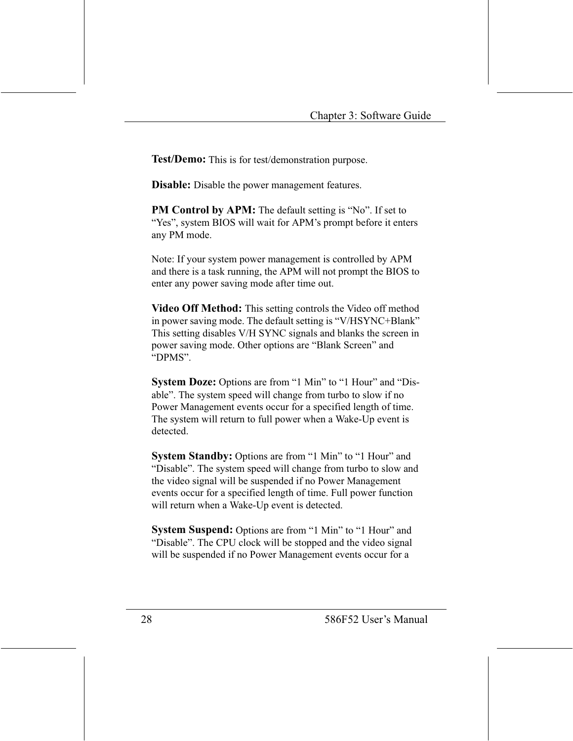Test/Demo: This is for test/demonstration purpose.

**Disable:** Disable the power management features.

**PM Control by APM:** The default setting is "No". If set to "Yes", system BIOS will wait for APM's prompt before it enters any PM mode.

Note: If your system power management is controlled by APM and there is a task running, the APM will not prompt the BIOS to enter any power saving mode after time out.

Video Off Method: This setting controls the Video off method in power saving mode. The default setting is "V/HSYNC+Blank" This setting disables V/H SYNC signals and blanks the screen in power saving mode. Other options are "Blank Screen" and "DPMS".

System Doze: Options are from "1 Min" to "1 Hour" and "Disable". The system speed will change from turbo to slow if no Power Management events occur for a specified length of time. The system will return to full power when a Wake-Up event is detected

System Standby: Options are from "1 Min" to "1 Hour" and "Disable". The system speed will change from turbo to slow and the video signal will be suspended if no Power Management events occur for a specified length of time. Full power function will return when a Wake-Up event is detected.

System Suspend: Options are from "1 Min" to "1 Hour" and "Disable". The CPU clock will be stopped and the video signal will be suspended if no Power Management events occur for a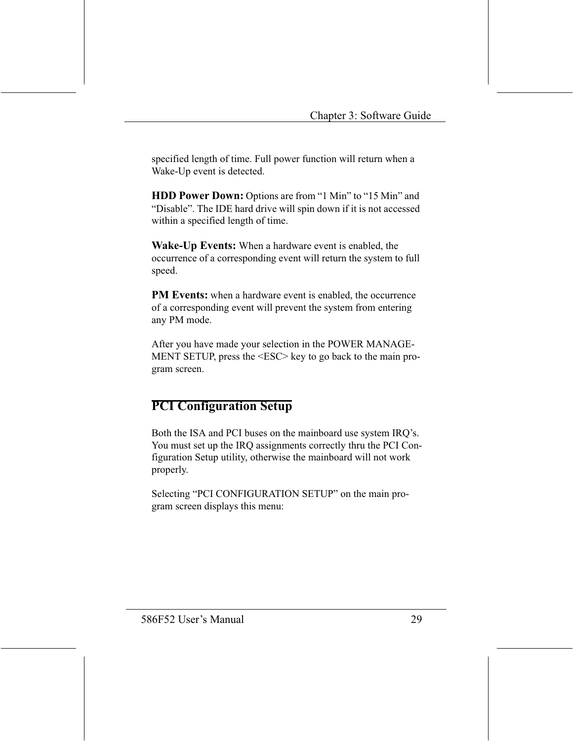specified length of time. Full power function will return when a Wake-Up event is detected.

**HDD Power Down:** Options are from "1 Min" to "15 Min" and "Disable". The IDE hard drive will spin down if it is not accessed within a specified length of time.

**Wake-Up Events:** When a hardware event is enabled, the occurrence of a corresponding event will return the system to full speed.

PM Events: when a hardware event is enabled, the occurrence of a corresponding event will prevent the system from entering any PM mode.

After you have made your selection in the POWER MANAGE-MENT SETUP, press the <ESC> key to go back to the main program screen.

### **PCI Configuration Setup**

Both the ISA and PCI buses on the mainboard use system IRQ's. You must set up the IRO assignments correctly thru the PCI Configuration Setup utility, otherwise the mainboard will not work properly.

Selecting "PCI CONFIGURATION SETUP" on the main program screen displays this menu: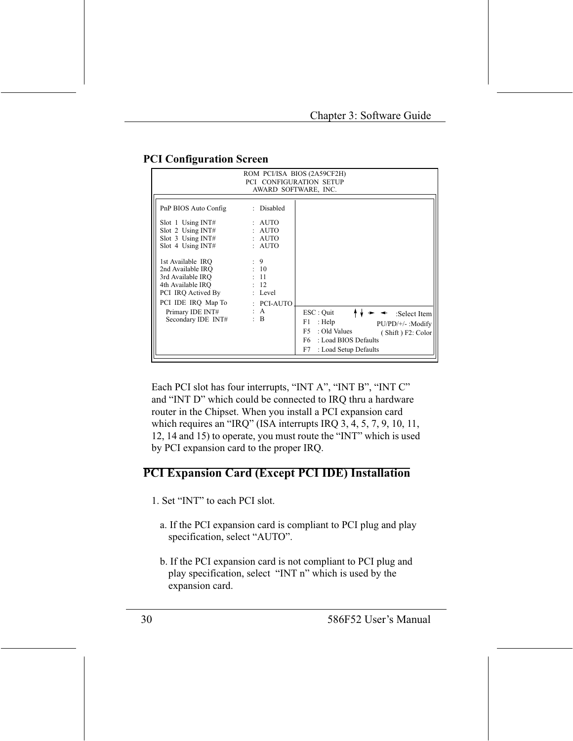| ROM PCI/ISA BIOS (2A59CF2H)<br>PCI CONFIGURATION SETUP<br>AWARD SOFTWARE, INC.                                                                                                                                                                                                                      |                                                                                                                               |                                                                                                                                                                                   |
|-----------------------------------------------------------------------------------------------------------------------------------------------------------------------------------------------------------------------------------------------------------------------------------------------------|-------------------------------------------------------------------------------------------------------------------------------|-----------------------------------------------------------------------------------------------------------------------------------------------------------------------------------|
| PnP BIOS Auto Config<br>$Slot$ 1 Using INT#<br>Slot 2 Using INT#<br>Slot $3$ Using INT#<br>$Slot$ 4 Using INT#<br>1st Available IRO<br>2nd Available IRO<br>3rd Available IRO<br>4th Available IRO<br>PCI IRQ Actived By<br>PCI IDE IRQ Map To : PCI-AUTO<br>Primary IDE INT#<br>Secondary IDE INT# | : Disabled<br>: AUTO<br>: AUTO<br>: AUTO<br>: AUTO<br>$\cdot$ 9<br>: 10<br>: 11<br>: 12<br>: Level<br>: $A$<br>$\therefore$ B | $\text{ESC}:$ Quit<br>:Select Item<br>: Help<br>F1<br>PU/PD/+/- :Modify<br>: Old Values<br>F5<br>(Shift) F2: Color<br>: Load BIOS Defaults<br>F6 =<br>F7<br>: Load Setup Defaults |

### **PCI Configuration Screen**

Each PCI slot has four interrupts, "INT A", "INT B", "INT C" and "INT D" which could be connected to IRQ thru a hardware router in the Chipset. When you install a PCI expansion card which requires an "IRQ" (ISA interrupts IRQ 3, 4, 5, 7, 9, 10, 11, 12, 14 and 15) to operate, you must route the "INT" which is used by PCI expansion card to the proper IRQ.

### **PCI Expansion Card (Except PCI IDE) Installation**

- 1. Set "INT" to each PCI slot.
	- a. If the PCI expansion card is compliant to PCI plug and play specification, select "AUTO".
	- b. If the PCI expansion card is not compliant to PCI plug and play specification, select "INT n" which is used by the expansion card.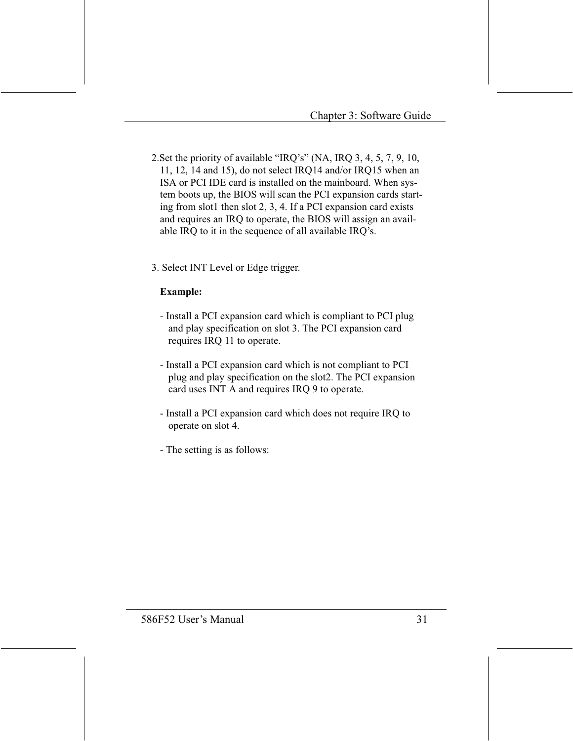- 2. Set the priority of available "IRQ's" (NA, IRQ 3, 4, 5, 7, 9, 10, 11, 12, 14 and 15), do not select IRO14 and/or IRO15 when an ISA or PCI IDE card is installed on the mainboard. When system boots up, the BIOS will scan the PCI expansion cards starting from slot1 then slot 2, 3, 4. If a PCI expansion card exists and requires an IRQ to operate, the BIOS will assign an available IRQ to it in the sequence of all available IRQ's.
- 3. Select INT Level or Edge trigger.

#### **Example:**

- Install a PCI expansion card which is compliant to PCI plug and play specification on slot 3. The PCI expansion card requires IRQ 11 to operate.
- Install a PCI expansion card which is not compliant to PCI plug and play specification on the slot2. The PCI expansion card uses INT A and requires IRQ 9 to operate.
- Install a PCI expansion card which does not require IRQ to operate on slot 4.
- The setting is as follows: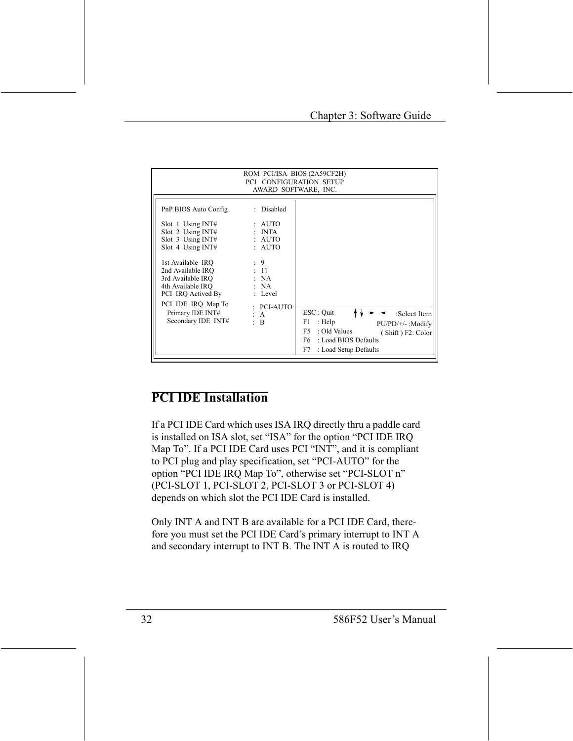| ROM PCI/ISA BIOS (2A59CF2H)<br><b>PCI CONFIGURATION SETUP</b><br>AWARD SOFTWARE, INC.                                                                                                                                                                                                      |                                                                                                                                               |                                                                                                                                             |
|--------------------------------------------------------------------------------------------------------------------------------------------------------------------------------------------------------------------------------------------------------------------------------------------|-----------------------------------------------------------------------------------------------------------------------------------------------|---------------------------------------------------------------------------------------------------------------------------------------------|
| PnP BIOS Auto Config<br>$Slot$ 1 Using INT#<br>Slot 2 Using $INT#$<br>$Slot$ 3 Using INT#<br>$Slot$ 4 Using INT#<br>1st Available IRO<br>2nd Available IRO<br>3rd Available IRO<br>4th Available IRO<br>PCI IRQ Actived By<br>PCI IDE IRQ Map To<br>Primary IDE INT#<br>Secondary IDE INT# | : Disabled<br>: AUTO<br>$: \quad \text{INTA}$<br>: AUTO<br>: AUTO<br>$\cdot$ 9<br>: 11<br>: NA<br>: NA<br>: Level<br>: PCI-AUTO<br>: A<br>: B | ESC : Quit<br>:Select Item<br>: Help<br>F1<br>$PU/PD/+/-$ : Modify<br>: Old Values<br>F5<br>(Shift) F2: Color<br>: Load BIOS Defaults<br>F6 |
|                                                                                                                                                                                                                                                                                            |                                                                                                                                               | F7<br>: Load Setup Defaults                                                                                                                 |

### **PCI IDE Installation**

If a PCI IDE Card which uses ISA IRQ directly thru a paddle card is installed on ISA slot, set "ISA" for the option "PCI IDE IRQ Map To". If a PCI IDE Card uses PCI "INT", and it is compliant to PCI plug and play specification, set "PCI-AUTO" for the option "PCI IDE IRQ Map To", otherwise set "PCI-SLOT n" (PCI-SLOT 1, PCI-SLOT 2, PCI-SLOT 3 or PCI-SLOT 4) depends on which slot the PCI IDE Card is installed.

Only INT A and INT B are available for a PCI IDE Card, therefore you must set the PCI IDE Card's primary interrupt to INT A and secondary interrupt to INT B. The INT A is routed to IRQ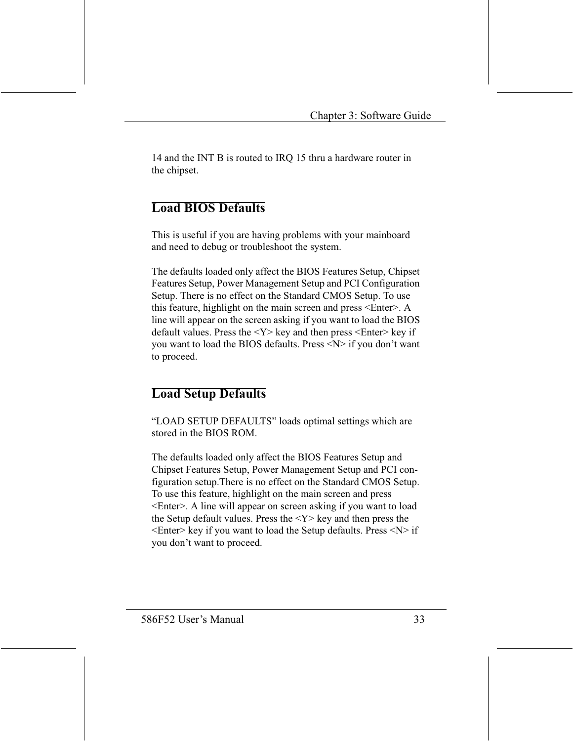14 and the INT B is routed to IRQ 15 thru a hardware router in the chipset.

### **Load BIOS Defaults**

This is useful if you are having problems with your mainboard and need to debug or troubleshoot the system.

The defaults loaded only affect the BIOS Features Setup, Chipset Features Setup, Power Management Setup and PCI Configuration Setup. There is no effect on the Standard CMOS Setup. To use this feature, highlight on the main screen and press <Enter>. A line will appear on the screen asking if you want to load the BIOS default values. Press the  $\langle Y \rangle$  key and then press  $\langle$ Enter $\rangle$  key if you want to load the BIOS defaults. Press <N> if you don't want to proceed.

### **Load Setup Defaults**

"LOAD SETUP DEFAULTS" loads optimal settings which are stored in the BIOS ROM.

The defaults loaded only affect the BIOS Features Setup and Chipset Features Setup, Power Management Setup and PCI configuration setup. There is no effect on the Standard CMOS Setup. To use this feature, highlight on the main screen and press <Enter>. A line will appear on screen asking if you want to load the Setup default values. Press the  $\langle Y \rangle$  key and then press the  $\leq$ Enter> key if you want to load the Setup defaults. Press  $\leq N$ > if you don't want to proceed.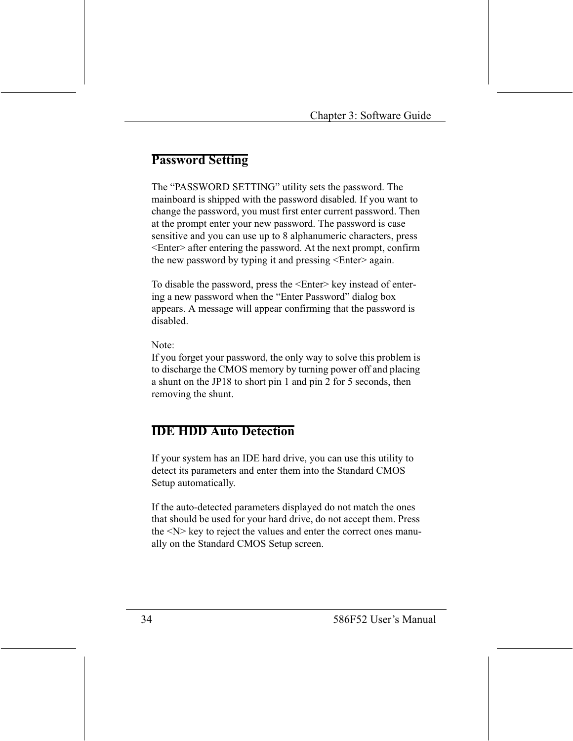### **Password Setting**

The "PASSWORD SETTING" utility sets the password. The mainboard is shipped with the password disabled. If you want to change the password, you must first enter current password. Then at the prompt enter your new password. The password is case sensitive and you can use up to 8 alphanumeric characters, press  $\leq$ Enter $\geq$  after entering the password. At the next prompt, confirm the new password by typing it and pressing <Enter> again.

To disable the password, press the <Enter> key instead of entering a new password when the "Enter Password" dialog box appears. A message will appear confirming that the password is disabled

Note:

If you forget your password, the only way to solve this problem is to discharge the CMOS memory by turning power off and placing a shunt on the JP18 to short pin 1 and pin 2 for 5 seconds, then removing the shunt.

## **IDE HDD Auto Detection**

If your system has an IDE hard drive, you can use this utility to detect its parameters and enter them into the Standard CMOS Setup automatically.

If the auto-detected parameters displayed do not match the ones that should be used for your hard drive, do not accept them. Press the <N> key to reject the values and enter the correct ones manually on the Standard CMOS Setup screen.